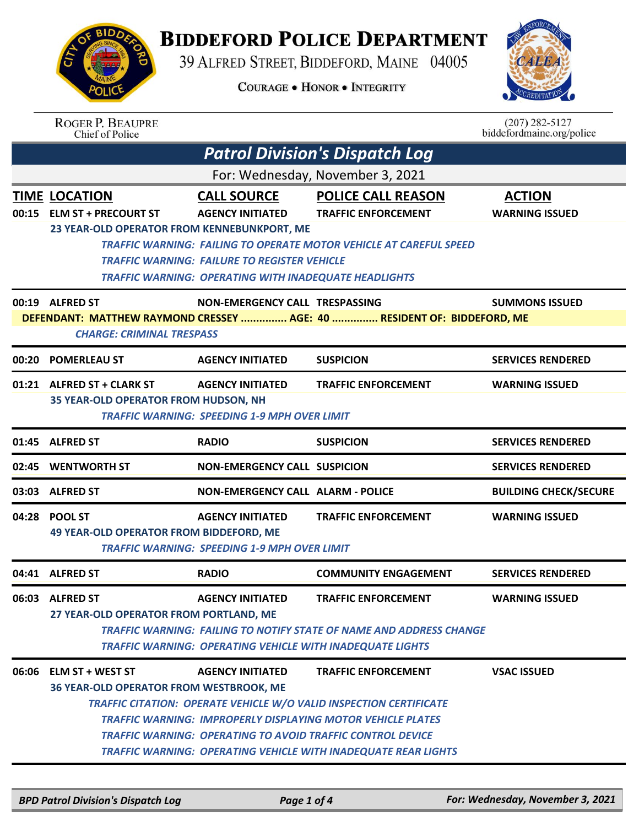

## **BIDDEFORD POLICE DEPARTMENT**

39 ALFRED STREET, BIDDEFORD, MAINE 04005

**COURAGE . HONOR . INTEGRITY** 



|                                  | <b>ROGER P. BEAUPRE</b><br>Chief of Police                                                                                                                                                                |                                                              |                                                                           | $(207)$ 282-5127<br>biddefordmaine.org/police |  |  |  |
|----------------------------------|-----------------------------------------------------------------------------------------------------------------------------------------------------------------------------------------------------------|--------------------------------------------------------------|---------------------------------------------------------------------------|-----------------------------------------------|--|--|--|
|                                  |                                                                                                                                                                                                           |                                                              | <b>Patrol Division's Dispatch Log</b>                                     |                                               |  |  |  |
| For: Wednesday, November 3, 2021 |                                                                                                                                                                                                           |                                                              |                                                                           |                                               |  |  |  |
|                                  | <b>TIME LOCATION</b>                                                                                                                                                                                      | <b>CALL SOURCE</b>                                           | <b>POLICE CALL REASON</b>                                                 | <b>ACTION</b>                                 |  |  |  |
|                                  | 00:15 ELM ST + PRECOURT ST                                                                                                                                                                                | <b>AGENCY INITIATED</b>                                      | <b>TRAFFIC ENFORCEMENT</b>                                                | <b>WARNING ISSUED</b>                         |  |  |  |
|                                  | 23 YEAR-OLD OPERATOR FROM KENNEBUNKPORT, ME                                                                                                                                                               |                                                              |                                                                           |                                               |  |  |  |
|                                  |                                                                                                                                                                                                           | <b>TRAFFIC WARNING: FAILURE TO REGISTER VEHICLE</b>          | <b>TRAFFIC WARNING: FAILING TO OPERATE MOTOR VEHICLE AT CAREFUL SPEED</b> |                                               |  |  |  |
|                                  |                                                                                                                                                                                                           | <b>TRAFFIC WARNING: OPERATING WITH INADEQUATE HEADLIGHTS</b> |                                                                           |                                               |  |  |  |
|                                  | 00:19 ALFRED ST                                                                                                                                                                                           | NON-EMERGENCY CALL TRESPASSING                               |                                                                           | <b>SUMMONS ISSUED</b>                         |  |  |  |
|                                  |                                                                                                                                                                                                           |                                                              | DEFENDANT: MATTHEW RAYMOND CRESSEY  AGE: 40  RESIDENT OF: BIDDEFORD, ME   |                                               |  |  |  |
|                                  | <b>CHARGE: CRIMINAL TRESPASS</b>                                                                                                                                                                          |                                                              |                                                                           |                                               |  |  |  |
| 00:20                            | <b>POMERLEAU ST</b>                                                                                                                                                                                       | <b>AGENCY INITIATED</b>                                      | <b>SUSPICION</b>                                                          | <b>SERVICES RENDERED</b>                      |  |  |  |
|                                  | 01:21 ALFRED ST + CLARK ST                                                                                                                                                                                | <b>AGENCY INITIATED</b>                                      | <b>TRAFFIC ENFORCEMENT</b>                                                | <b>WARNING ISSUED</b>                         |  |  |  |
|                                  | 35 YEAR-OLD OPERATOR FROM HUDSON, NH                                                                                                                                                                      |                                                              |                                                                           |                                               |  |  |  |
|                                  |                                                                                                                                                                                                           | <b>TRAFFIC WARNING: SPEEDING 1-9 MPH OVER LIMIT</b>          |                                                                           |                                               |  |  |  |
| 01:45                            | <b>ALFRED ST</b>                                                                                                                                                                                          | <b>RADIO</b>                                                 | <b>SUSPICION</b>                                                          | <b>SERVICES RENDERED</b>                      |  |  |  |
| 02:45                            | <b>WENTWORTH ST</b>                                                                                                                                                                                       | <b>NON-EMERGENCY CALL SUSPICION</b>                          |                                                                           | <b>SERVICES RENDERED</b>                      |  |  |  |
| 03:03                            | <b>ALFRED ST</b>                                                                                                                                                                                          | <b>NON-EMERGENCY CALL ALARM - POLICE</b>                     |                                                                           | <b>BUILDING CHECK/SECURE</b>                  |  |  |  |
| 04:28                            | <b>POOL ST</b>                                                                                                                                                                                            | <b>AGENCY INITIATED</b>                                      | <b>TRAFFIC ENFORCEMENT</b>                                                | <b>WARNING ISSUED</b>                         |  |  |  |
|                                  | <b>49 YEAR-OLD OPERATOR FROM BIDDEFORD, ME</b>                                                                                                                                                            |                                                              |                                                                           |                                               |  |  |  |
|                                  |                                                                                                                                                                                                           | <b>TRAFFIC WARNING: SPEEDING 1-9 MPH OVER LIMIT</b>          |                                                                           |                                               |  |  |  |
|                                  | 04:41 ALFRED ST                                                                                                                                                                                           | <b>RADIO</b>                                                 | <b>COMMUNITY ENGAGEMENT</b>                                               | <b>SERVICES RENDERED</b>                      |  |  |  |
|                                  | 06:03 ALFRED ST                                                                                                                                                                                           | <b>AGENCY INITIATED</b>                                      | <b>TRAFFIC ENFORCEMENT</b>                                                | <b>WARNING ISSUED</b>                         |  |  |  |
|                                  | 27 YEAR-OLD OPERATOR FROM PORTLAND, ME                                                                                                                                                                    |                                                              |                                                                           |                                               |  |  |  |
|                                  |                                                                                                                                                                                                           |                                                              | TRAFFIC WARNING: FAILING TO NOTIFY STATE OF NAME AND ADDRESS CHANGE       |                                               |  |  |  |
|                                  | <b>TRAFFIC WARNING: OPERATING VEHICLE WITH INADEQUATE LIGHTS</b>                                                                                                                                          |                                                              |                                                                           |                                               |  |  |  |
|                                  | 06:06 ELM ST + WEST ST                                                                                                                                                                                    | <b>AGENCY INITIATED</b>                                      | <b>TRAFFIC ENFORCEMENT</b>                                                | <b>VSAC ISSUED</b>                            |  |  |  |
|                                  | <b>36 YEAR-OLD OPERATOR FROM WESTBROOK, ME</b><br><b>TRAFFIC CITATION: OPERATE VEHICLE W/O VALID INSPECTION CERTIFICATE</b>                                                                               |                                                              |                                                                           |                                               |  |  |  |
|                                  |                                                                                                                                                                                                           |                                                              |                                                                           |                                               |  |  |  |
|                                  | <b>TRAFFIC WARNING: IMPROPERLY DISPLAYING MOTOR VEHICLE PLATES</b><br>TRAFFIC WARNING: OPERATING TO AVOID TRAFFIC CONTROL DEVICE<br><b>TRAFFIC WARNING: OPERATING VEHICLE WITH INADEQUATE REAR LIGHTS</b> |                                                              |                                                                           |                                               |  |  |  |
|                                  |                                                                                                                                                                                                           |                                                              |                                                                           |                                               |  |  |  |
|                                  |                                                                                                                                                                                                           |                                                              |                                                                           |                                               |  |  |  |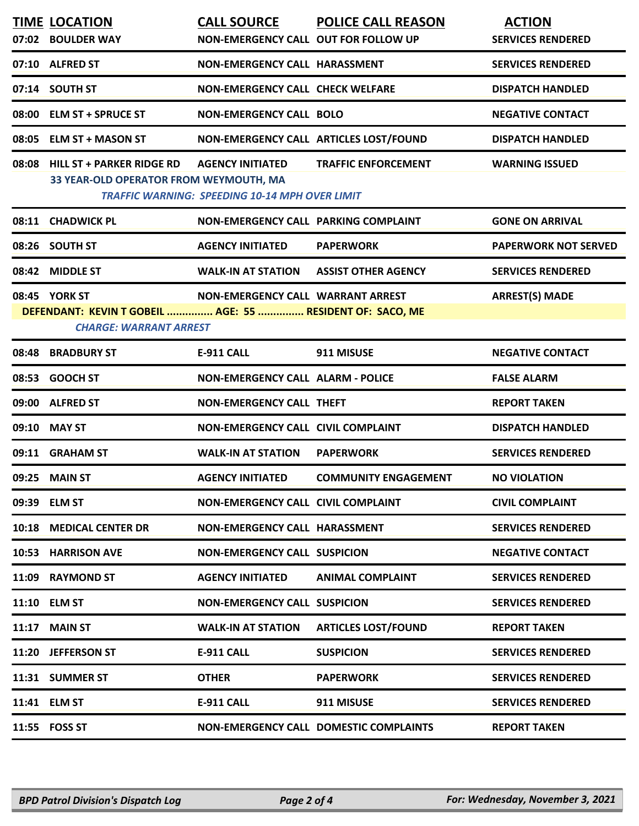| <b>TIME LOCATION</b><br>07:02 BOULDER WAY                                                                   | <b>CALL SOURCE</b><br>NON-EMERGENCY CALL OUT FOR FOLLOW UP                       | <b>POLICE CALL REASON</b>              | <b>ACTION</b><br><b>SERVICES RENDERED</b> |
|-------------------------------------------------------------------------------------------------------------|----------------------------------------------------------------------------------|----------------------------------------|-------------------------------------------|
| 07:10 ALFRED ST                                                                                             | NON-EMERGENCY CALL HARASSMENT                                                    |                                        | <b>SERVICES RENDERED</b>                  |
| 07:14 SOUTH ST                                                                                              | <b>NON-EMERGENCY CALL CHECK WELFARE</b>                                          |                                        | <b>DISPATCH HANDLED</b>                   |
| 08:00 ELM ST + SPRUCE ST                                                                                    | <b>NON-EMERGENCY CALL BOLO</b>                                                   |                                        | <b>NEGATIVE CONTACT</b>                   |
| 08:05 ELM ST + MASON ST                                                                                     | NON-EMERGENCY CALL ARTICLES LOST/FOUND                                           |                                        | <b>DISPATCH HANDLED</b>                   |
| 08:08 HILL ST + PARKER RIDGE RD<br>33 YEAR-OLD OPERATOR FROM WEYMOUTH, MA                                   | <b>AGENCY INITIATED</b><br><b>TRAFFIC WARNING: SPEEDING 10-14 MPH OVER LIMIT</b> | <b>TRAFFIC ENFORCEMENT</b>             | <b>WARNING ISSUED</b>                     |
| 08:11 CHADWICK PL                                                                                           | NON-EMERGENCY CALL PARKING COMPLAINT                                             |                                        | <b>GONE ON ARRIVAL</b>                    |
| 08:26 SOUTH ST                                                                                              | <b>AGENCY INITIATED</b>                                                          | <b>PAPERWORK</b>                       | <b>PAPERWORK NOT SERVED</b>               |
| 08:42 MIDDLE ST                                                                                             | <b>WALK-IN AT STATION</b>                                                        | <b>ASSIST OTHER AGENCY</b>             | <b>SERVICES RENDERED</b>                  |
| 08:45 YORK ST<br>DEFENDANT: KEVIN T GOBEIL  AGE: 55  RESIDENT OF: SACO, ME<br><b>CHARGE: WARRANT ARREST</b> | NON-EMERGENCY CALL WARRANT ARREST                                                |                                        | <b>ARREST(S) MADE</b>                     |
| 08:48 BRADBURY ST                                                                                           | <b>E-911 CALL</b>                                                                | 911 MISUSE                             | <b>NEGATIVE CONTACT</b>                   |
| 08:53 GOOCH ST                                                                                              | <b>NON-EMERGENCY CALL ALARM - POLICE</b>                                         |                                        | <b>FALSE ALARM</b>                        |
| 09:00 ALFRED ST                                                                                             | <b>NON-EMERGENCY CALL THEFT</b>                                                  |                                        | <b>REPORT TAKEN</b>                       |
| 09:10 MAY ST                                                                                                | <b>NON-EMERGENCY CALL CIVIL COMPLAINT</b>                                        |                                        | <b>DISPATCH HANDLED</b>                   |
| 09:11 GRAHAM ST                                                                                             | <b>WALK-IN AT STATION</b>                                                        | <b>PAPERWORK</b>                       | <b>SERVICES RENDERED</b>                  |
| 09:25 MAIN ST                                                                                               | <b>AGENCY INITIATED</b>                                                          | <b>COMMUNITY ENGAGEMENT</b>            | <b>NO VIOLATION</b>                       |
| 09:39 ELM ST                                                                                                | NON-EMERGENCY CALL CIVIL COMPLAINT                                               |                                        | <b>CIVIL COMPLAINT</b>                    |
| 10:18 MEDICAL CENTER DR                                                                                     | NON-EMERGENCY CALL HARASSMENT                                                    |                                        | <b>SERVICES RENDERED</b>                  |
| 10:53 HARRISON AVE                                                                                          | <b>NON-EMERGENCY CALL SUSPICION</b>                                              |                                        | <b>NEGATIVE CONTACT</b>                   |
| 11:09 RAYMOND ST                                                                                            | <b>AGENCY INITIATED</b>                                                          | <b>ANIMAL COMPLAINT</b>                | <b>SERVICES RENDERED</b>                  |
| 11:10 ELM ST                                                                                                | <b>NON-EMERGENCY CALL SUSPICION</b>                                              |                                        | <b>SERVICES RENDERED</b>                  |
| 11:17 MAIN ST                                                                                               | <b>WALK-IN AT STATION</b>                                                        | <b>ARTICLES LOST/FOUND</b>             | <b>REPORT TAKEN</b>                       |
| 11:20 JEFFERSON ST                                                                                          | <b>E-911 CALL</b>                                                                | <b>SUSPICION</b>                       | <b>SERVICES RENDERED</b>                  |
| 11:31 SUMMER ST                                                                                             | <b>OTHER</b>                                                                     | <b>PAPERWORK</b>                       | <b>SERVICES RENDERED</b>                  |
| 11:41 ELM ST                                                                                                | E-911 CALL                                                                       | 911 MISUSE                             | <b>SERVICES RENDERED</b>                  |
| 11:55 FOSS ST                                                                                               |                                                                                  | NON-EMERGENCY CALL DOMESTIC COMPLAINTS | <b>REPORT TAKEN</b>                       |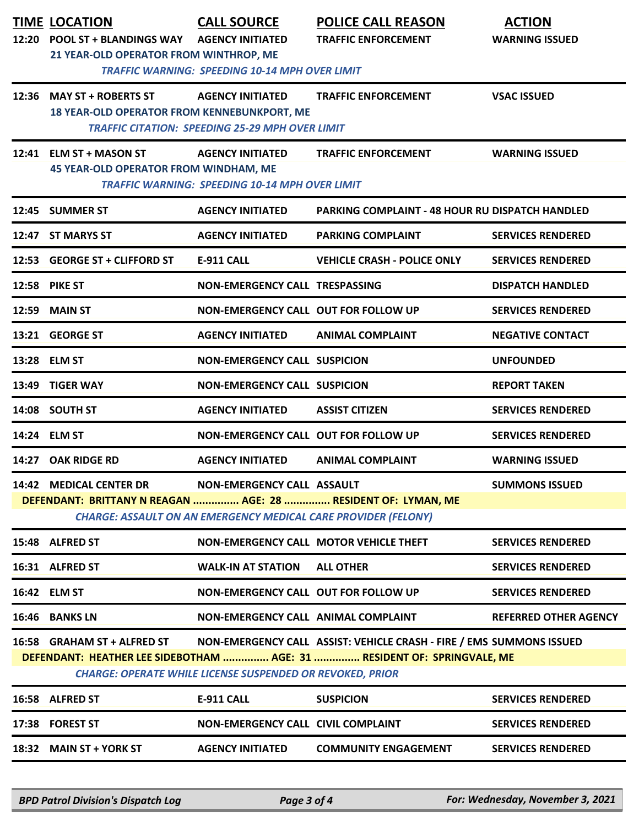| 12:20 | <b>TIME LOCATION</b><br><b>POOL ST + BLANDINGS WAY</b><br>21 YEAR-OLD OPERATOR FROM WINTHROP, ME | <b>CALL SOURCE</b><br><b>AGENCY INITIATED</b><br><b>TRAFFIC WARNING: SPEEDING 10-14 MPH OVER LIMIT</b>     | <b>POLICE CALL REASON</b><br><b>TRAFFIC ENFORCEMENT</b>                                                                                         | <b>ACTION</b><br><b>WARNING ISSUED</b> |
|-------|--------------------------------------------------------------------------------------------------|------------------------------------------------------------------------------------------------------------|-------------------------------------------------------------------------------------------------------------------------------------------------|----------------------------------------|
|       | 12:36 MAY ST + ROBERTS ST<br>18 YEAR-OLD OPERATOR FROM KENNEBUNKPORT, ME                         | <b>AGENCY INITIATED</b><br><b>TRAFFIC CITATION: SPEEDING 25-29 MPH OVER LIMIT</b>                          | <b>TRAFFIC ENFORCEMENT</b>                                                                                                                      | <b>VSAC ISSUED</b>                     |
|       | 12:41 ELM ST + MASON ST<br><b>45 YEAR-OLD OPERATOR FROM WINDHAM, ME</b>                          | <b>AGENCY INITIATED</b><br><b>TRAFFIC WARNING: SPEEDING 10-14 MPH OVER LIMIT</b>                           | <b>TRAFFIC ENFORCEMENT</b>                                                                                                                      | <b>WARNING ISSUED</b>                  |
|       | 12:45 SUMMER ST                                                                                  | <b>AGENCY INITIATED</b>                                                                                    | <b>PARKING COMPLAINT - 48 HOUR RU DISPATCH HANDLED</b>                                                                                          |                                        |
|       | 12:47 ST MARYS ST                                                                                | <b>AGENCY INITIATED</b>                                                                                    | <b>PARKING COMPLAINT</b>                                                                                                                        | <b>SERVICES RENDERED</b>               |
|       | 12:53 GEORGE ST + CLIFFORD ST                                                                    | <b>E-911 CALL</b>                                                                                          | <b>VEHICLE CRASH - POLICE ONLY</b>                                                                                                              | <b>SERVICES RENDERED</b>               |
|       | <b>12:58 PIKE ST</b>                                                                             | NON-EMERGENCY CALL TRESPASSING                                                                             |                                                                                                                                                 | <b>DISPATCH HANDLED</b>                |
| 12:59 | <b>MAIN ST</b>                                                                                   | NON-EMERGENCY CALL OUT FOR FOLLOW UP                                                                       |                                                                                                                                                 | <b>SERVICES RENDERED</b>               |
|       | 13:21 GEORGE ST                                                                                  | <b>AGENCY INITIATED</b>                                                                                    | <b>ANIMAL COMPLAINT</b>                                                                                                                         | <b>NEGATIVE CONTACT</b>                |
|       | 13:28 ELM ST                                                                                     | <b>NON-EMERGENCY CALL SUSPICION</b>                                                                        |                                                                                                                                                 | <b>UNFOUNDED</b>                       |
| 13:49 | <b>TIGER WAY</b>                                                                                 | <b>NON-EMERGENCY CALL SUSPICION</b>                                                                        |                                                                                                                                                 | <b>REPORT TAKEN</b>                    |
|       | 14:08 SOUTH ST                                                                                   | <b>AGENCY INITIATED</b>                                                                                    | <b>ASSIST CITIZEN</b>                                                                                                                           | <b>SERVICES RENDERED</b>               |
|       | 14:24 ELM ST                                                                                     | NON-EMERGENCY CALL OUT FOR FOLLOW UP                                                                       |                                                                                                                                                 | <b>SERVICES RENDERED</b>               |
| 14:27 | <b>OAK RIDGE RD</b>                                                                              | <b>AGENCY INITIATED</b>                                                                                    | <b>ANIMAL COMPLAINT</b>                                                                                                                         | <b>WARNING ISSUED</b>                  |
|       | 14:42 MEDICAL CENTER DR                                                                          | <b>NON-EMERGENCY CALL ASSAULT</b><br><b>CHARGE: ASSAULT ON AN EMERGENCY MEDICAL CARE PROVIDER (FELONY)</b> | DEFENDANT: BRITTANY N REAGAN  AGE: 28  RESIDENT OF: LYMAN, ME                                                                                   | <b>SUMMONS ISSUED</b>                  |
|       | 15:48 ALFRED ST                                                                                  |                                                                                                            | NON-EMERGENCY CALL MOTOR VEHICLE THEFT                                                                                                          | <b>SERVICES RENDERED</b>               |
|       | 16:31 ALFRED ST                                                                                  | <b>WALK-IN AT STATION</b>                                                                                  | <b>ALL OTHER</b>                                                                                                                                | <b>SERVICES RENDERED</b>               |
|       | 16:42 ELM ST                                                                                     | NON-EMERGENCY CALL OUT FOR FOLLOW UP                                                                       |                                                                                                                                                 | <b>SERVICES RENDERED</b>               |
|       | 16:46 BANKS LN                                                                                   | NON-EMERGENCY CALL ANIMAL COMPLAINT                                                                        |                                                                                                                                                 | <b>REFERRED OTHER AGENCY</b>           |
|       | 16:58 GRAHAM ST + ALFRED ST                                                                      | <b>CHARGE: OPERATE WHILE LICENSE SUSPENDED OR REVOKED, PRIOR</b>                                           | NON-EMERGENCY CALL ASSIST: VEHICLE CRASH - FIRE / EMS SUMMONS ISSUED<br>DEFENDANT: HEATHER LEE SIDEBOTHAM  AGE: 31  RESIDENT OF: SPRINGVALE, ME |                                        |
|       | 16:58 ALFRED ST                                                                                  | E-911 CALL                                                                                                 | <b>SUSPICION</b>                                                                                                                                | <b>SERVICES RENDERED</b>               |
|       | 17:38 FOREST ST                                                                                  | <b>NON-EMERGENCY CALL CIVIL COMPLAINT</b>                                                                  |                                                                                                                                                 | <b>SERVICES RENDERED</b>               |
|       | 18:32 MAIN ST + YORK ST                                                                          | <b>AGENCY INITIATED</b>                                                                                    | <b>COMMUNITY ENGAGEMENT</b>                                                                                                                     | <b>SERVICES RENDERED</b>               |